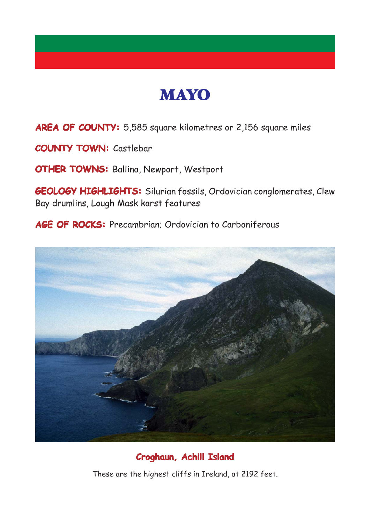

**AREA OF COUNTY: AREA OF COUNTY:** 5,585 square kilometres or 2,156 square miles

**COUNTY TOWN:** Castlebar

**OTHER TOWNS: OTHER TOWNS:** Ballina, Newport, Westport

**GEOLOGY HIGHLIGHTS: GEOLOGY HIGHLIGHTS:** Silurian fossils, Ordovician conglomerates, Clew Bay drumlins, Lough Mask karst features

**AGE OF ROCKS: AGE ROCKS:** Precambrian; Ordovician to Carboniferous



**Croghaun, Achill Island**

These are the highest cliffs in Ireland, at 2192 feet.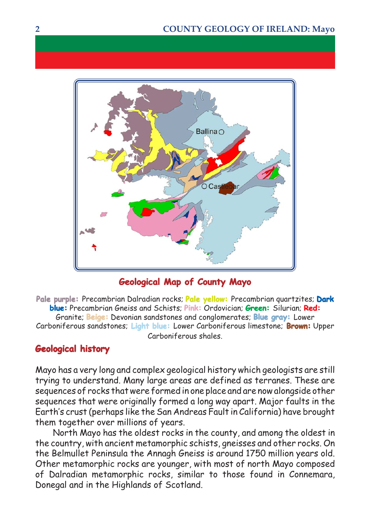

## **Geological Map of County Mayo**

**Pale purple:** Precambrian Dalradian rocks; **Pale yellow:** Precambrian quartzites; **Dark blue:** Precambrian Gneiss and Schists; **Pink:** Ordovician; **Green:** Silurian; **Red:** Granite; **Beige:** Devonian sandstones and conglomerates; **Blue gray:** Lower Carboniferous sandstones; **Light blue:** Lower Carboniferous limestone; **Brown:** Upper Carboniferous shales.

## **Geological history**

Mayo has a very long and complex geological history which geologists are still trying to understand. Many large areas are defined as terranes. These are sequences of rocks that were formed in one place and are now alongside other sequences that were originally formed a long way apart. Major faults in the Earth's crust (perhaps like the San Andreas Fault in California) have brought them together over millions of years.

North Mayo has the oldest rocks in the county, and among the oldest in the country, with ancient metamorphic schists, gneisses and other rocks. On the Belmullet Peninsula the Annagh Gneiss is around 1750 million years old. Other metamorphic rocks are younger, with most of north Mayo composed of Dalradian metamorphic rocks, similar to those found in Connemara, Donegal and in the Highlands of Scotland.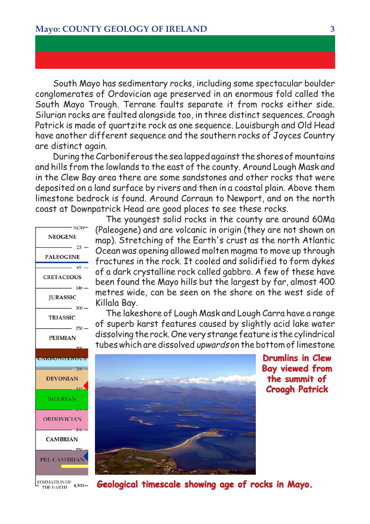South Mayo has sedimentary rocks, including some spectacular boulder conglomerates of Ordovician age preserved in an enormous fold called the South Mayo Trough. Terrane faults separate it from rocks either side. Silurian rocks are faulted alongside too, in three distinct sequences. Croagh Patrick is made of quartzite rock as one sequence. Louisburgh and Old Head have another different sequence and the southern rocks of Joyces Country are distinct again.

During the Carboniferous the sea lapped against the shores of mountains and hills from the lowlands to the east of the county. Around Lough Mask and in the Clew Bay area there are some sandstones and other rocks that were deposited on a land surface by rivers and then in a coastal plain. Above them limestone bedrock is found. Around Corraun to Newport, and on the north coast at Downpatrick Head are good places to see these rocks.



The youngest solid rocks in the county are around 60Ma (Paleogene) and are volcanic in origin (they are not shown on map). Stretching of the Earth's crust as the north Atlantic Ocean was opening allowed molten magma to move up through fractures in the rock. It cooled and solidified to form dykes of a dark crystalline rock called gabbro. A few of these have been found the Mayo hills but the largest by far, almost 400 metres wide, can be seen on the shore on the west side of Killala Bay.

The lakeshore of Lough Mask and Lough Carra have a range of superb karst features caused by slightly acid lake water dissolving the rock. One very strange feature is the cylindrical tubes which are dissolved upwards on the bottom of limestone



**Drumlins in Clew Bay viewed from the summit of Croagh Patrick**

**Geological timescale showing age of rocks in Mayo. showing age of Mayo.**